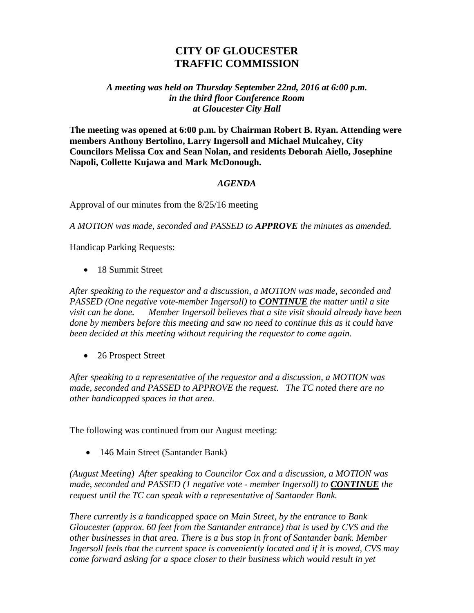## **CITY OF GLOUCESTER TRAFFIC COMMISSION**

## *A meeting was held on Thursday September 22nd, 2016 at 6:00 p.m. in the third floor Conference Room at Gloucester City Hall*

**The meeting was opened at 6:00 p.m. by Chairman Robert B. Ryan. Attending were members Anthony Bertolino, Larry Ingersoll and Michael Mulcahey, City Councilors Melissa Cox and Sean Nolan, and residents Deborah Aiello, Josephine Napoli, Collette Kujawa and Mark McDonough.**

## *AGENDA*

Approval of our minutes from the 8/25/16 meeting

*A MOTION was made, seconded and PASSED to APPROVE the minutes as amended.*

Handicap Parking Requests:

• 18 Summit Street

*After speaking to the requestor and a discussion, a MOTION was made, seconded and PASSED (One negative vote-member Ingersoll) to CONTINUE the matter until a site visit can be done. Member Ingersoll believes that a site visit should already have been done by members before this meeting and saw no need to continue this as it could have been decided at this meeting without requiring the requestor to come again.* 

• 26 Prospect Street

*After speaking to a representative of the requestor and a discussion, a MOTION was made, seconded and PASSED to APPROVE the request. The TC noted there are no other handicapped spaces in that area.*

The following was continued from our August meeting:

• 146 Main Street (Santander Bank)

*(August Meeting) After speaking to Councilor Cox and a discussion, a MOTION was made, seconded and PASSED (1 negative vote - member Ingersoll) to CONTINUE the request until the TC can speak with a representative of Santander Bank.*

*There currently is a handicapped space on Main Street, by the entrance to Bank Gloucester (approx. 60 feet from the Santander entrance) that is used by CVS and the other businesses in that area. There is a bus stop in front of Santander bank. Member Ingersoll feels that the current space is conveniently located and if it is moved, CVS may come forward asking for a space closer to their business which would result in yet*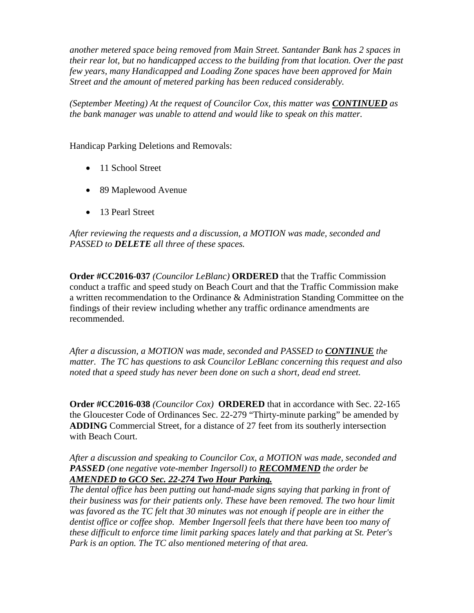*another metered space being removed from Main Street. Santander Bank has 2 spaces in their rear lot, but no handicapped access to the building from that location. Over the past few years, many Handicapped and Loading Zone spaces have been approved for Main Street and the amount of metered parking has been reduced considerably.*

*(September Meeting) At the request of Councilor Cox, this matter was CONTINUED as the bank manager was unable to attend and would like to speak on this matter.*

Handicap Parking Deletions and Removals:

- 11 School Street
- 89 Maplewood Avenue
- 13 Pearl Street

*After reviewing the requests and a discussion, a MOTION was made, seconded and PASSED to DELETE all three of these spaces.*

**Order #CC2016-037** *(Councilor LeBlanc)* **ORDERED** that the Traffic Commission conduct a traffic and speed study on Beach Court and that the Traffic Commission make a written recommendation to the Ordinance & Administration Standing Committee on the findings of their review including whether any traffic ordinance amendments are recommended.

*After a discussion, a MOTION was made, seconded and PASSED to CONTINUE the matter. The TC has questions to ask Councilor LeBlanc concerning this request and also noted that a speed study has never been done on such a short, dead end street.*

**Order #CC2016-038** *(Councilor Cox)* **ORDERED** that in accordance with Sec. 22-165 the Gloucester Code of Ordinances Sec. 22-279 "Thirty-minute parking" be amended by **ADDING** Commercial Street, for a distance of 27 feet from its southerly intersection with Beach Court.

*After a discussion and speaking to Councilor Cox, a MOTION was made, seconded and PASSED (one negative vote-member Ingersoll) to RECOMMEND the order be AMENDED to GCO Sec. 22-274 Two Hour Parking.*

*The dental office has been putting out hand-made signs saying that parking in front of their business was for their patients only. These have been removed. The two hour limit*  was favored as the TC felt that 30 minutes was not enough if people are in either the *dentist office or coffee shop. Member Ingersoll feels that there have been too many of these difficult to enforce time limit parking spaces lately and that parking at St. Peter's Park is an option. The TC also mentioned metering of that area.*